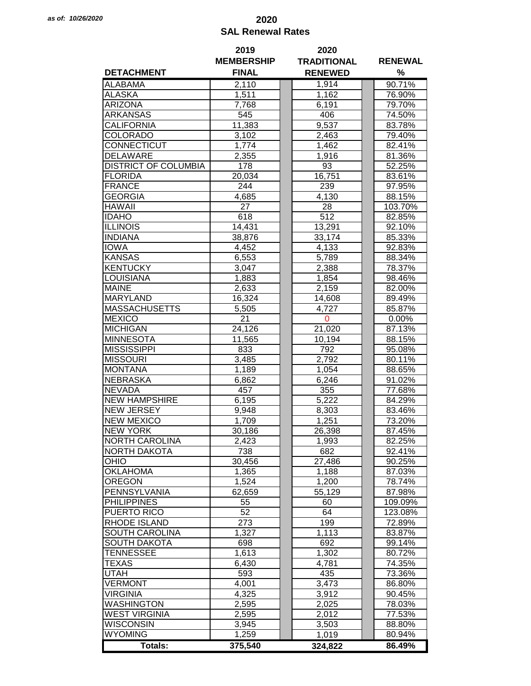## *as of: 10/26/2020* **2020 SAL Renewal Rates**

|                             | 2019              | 2020               |                |  |  |
|-----------------------------|-------------------|--------------------|----------------|--|--|
|                             | <b>MEMBERSHIP</b> | <b>TRADITIONAL</b> | <b>RENEWAL</b> |  |  |
| <b>DETACHMENT</b>           | <b>FINAL</b>      | <b>RENEWED</b>     | %              |  |  |
| <b>ALABAMA</b>              | 2,110             | 1,914              | 90.71%         |  |  |
| <b>ALASKA</b>               | 1,511             | 1,162              | 76.90%         |  |  |
| <b>ARIZONA</b>              | 7,768             | 6,191              | 79.70%         |  |  |
| <b>ARKANSAS</b>             | 545               | 406                | 74.50%         |  |  |
| <b>CALIFORNIA</b>           | 11,383            | 9,537              | 83.78%         |  |  |
| <b>COLORADO</b>             | 3,102             | 2,463              | 79.40%         |  |  |
| CONNECTICUT                 | 1,774             | 1,462              | 82.41%         |  |  |
| <b>DELAWARE</b>             | 2,355             | 1,916              | 81.36%         |  |  |
| <b>DISTRICT OF COLUMBIA</b> | 178               | 93                 | 52.25%         |  |  |
|                             |                   |                    |                |  |  |
| <b>FLORIDA</b>              | 20,034            | 16,751             | 83.61%         |  |  |
| <b>FRANCE</b>               | 244               | 239                | 97.95%         |  |  |
| <b>GEORGIA</b>              | 4,685             | 4,130              | 88.15%         |  |  |
| <b>HAWAII</b>               | 27                | 28                 | 103.70%        |  |  |
| <b>IDAHO</b>                | 618               | 512                | 82.85%         |  |  |
| <b>ILLINOIS</b>             | 14,431            | 13,291             | 92.10%         |  |  |
| <b>INDIANA</b>              | 38,876            | 33,174             | 85.33%         |  |  |
| <b>IOWA</b>                 | 4,452             | 4,133              | 92.83%         |  |  |
| <b>KANSAS</b>               | 6,553             | 5,789              | 88.34%         |  |  |
| <b>KENTUCKY</b>             | 3,047             | 2,388              | 78.37%         |  |  |
| <b>LOUISIANA</b>            | 1,883             | 1,854              | 98.46%         |  |  |
| <b>MAINE</b>                | 2,633             | 2,159              | 82.00%         |  |  |
| <b>MARYLAND</b>             | 16,324            | 14,608             | 89.49%         |  |  |
| <b>MASSACHUSETTS</b>        | 5,505             | 4,727              | 85.87%         |  |  |
| <b>MEXICO</b>               | 21                | 0                  | $0.00\%$       |  |  |
| <b>MICHIGAN</b>             | 24,126            | 21,020             | 87.13%         |  |  |
| <b>MINNESOTA</b>            | 11,565            | 10,194             | 88.15%         |  |  |
| <b>MISSISSIPPI</b>          | 833               | 792                | 95.08%         |  |  |
| <b>MISSOURI</b>             | 3,485             | 2,792              | 80.11%         |  |  |
| <b>MONTANA</b>              | 1,189             | 1,054              | 88.65%         |  |  |
| <b>NEBRASKA</b>             |                   |                    |                |  |  |
|                             | 6,862             | 6,246              | 91.02%         |  |  |
| <b>NEVADA</b>               | 457               | 355                | 77.68%         |  |  |
| <b>NEW HAMPSHIRE</b>        | 6,195             | 5,222              | 84.29%         |  |  |
| <b>NEW JERSEY</b>           | 9,948             | 8,303              | 83.46%         |  |  |
| <b>NEW MEXICO</b>           | 1,709             | 1,251              | 73.20%         |  |  |
| <b>NEW YORK</b>             | 30,186            | 26,398             | 87.45%         |  |  |
| <b>NORTH CAROLINA</b>       | 2,423             | 1,993              | 82.25%         |  |  |
| <b>NORTH DAKOTA</b>         | 738               | 682                | 92.41%         |  |  |
| OHIO                        | 30,456            | 27,486             | 90.25%         |  |  |
| <b>OKLAHOMA</b>             | 1,365             | 1,188              | 87.03%         |  |  |
| <b>OREGON</b>               | 1,524             | 1,200              | 78.74%         |  |  |
| PENNSYLVANIA                | 62,659            | 55,129             | 87.98%         |  |  |
| <b>PHILIPPINES</b>          | 55                | 60                 | 109.09%        |  |  |
| PUERTO RICO                 | 52                | 64                 | 123.08%        |  |  |
| RHODE ISLAND                | 273               | 199                | 72.89%         |  |  |
| <b>SOUTH CAROLINA</b>       | 1,327             | 1,113              | 83.87%         |  |  |
| <b>SOUTH DAKOTA</b>         | 698               | 692                | 99.14%         |  |  |
| <b>TENNESSEE</b>            | 1,613             | 1,302              | 80.72%         |  |  |
| <b>TEXAS</b>                | 6,430             | 4,781              | 74.35%         |  |  |
| <b>UTAH</b>                 | 593               | 435                | 73.36%         |  |  |
| <b>VERMONT</b>              | 4,001             | 3,473              | 86.80%         |  |  |
| <b>VIRGINIA</b>             | 4,325             | 3,912              | 90.45%         |  |  |
| <b>WASHINGTON</b>           | 2,595             | 2,025              | 78.03%         |  |  |
| <b>WEST VIRGINIA</b>        | 2,595             | 2,012              | 77.53%         |  |  |
|                             |                   |                    |                |  |  |
| <b>WISCONSIN</b>            | 3,945             | 3,503              | 88.80%         |  |  |
| <b>WYOMING</b>              | 1,259             | 1,019              | 80.94%         |  |  |
| Totals:                     | 375,540           | 324,822            | 86.49%         |  |  |